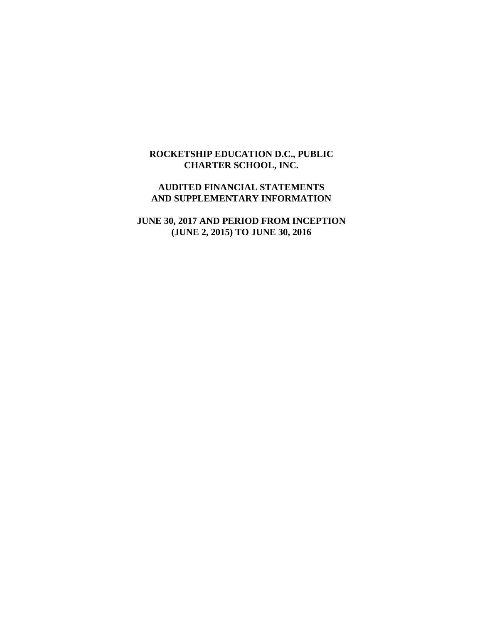### **ROCKETSHIP EDUCATION D.C., PUBLIC CHARTER SCHOOL, INC.**

### **AUDITED FINANCIAL STATEMENTS AND SUPPLEMENTARY INFORMATION**

**JUNE 30, 2017 AND PERIOD FROM INCEPTION (JUNE 2, 2015) TO JUNE 30, 2016**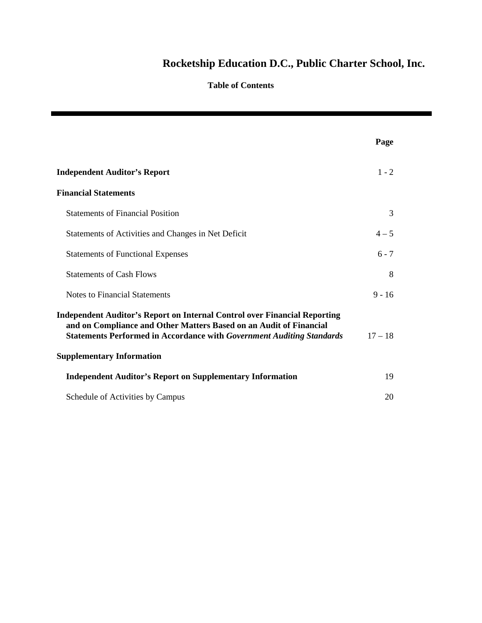### **Table of Contents**

|                                                                                                                                                                                                                                                                            | Page      |
|----------------------------------------------------------------------------------------------------------------------------------------------------------------------------------------------------------------------------------------------------------------------------|-----------|
| <b>Independent Auditor's Report</b>                                                                                                                                                                                                                                        | $1 - 2$   |
| <b>Financial Statements</b>                                                                                                                                                                                                                                                |           |
| <b>Statements of Financial Position</b>                                                                                                                                                                                                                                    | 3         |
| Statements of Activities and Changes in Net Deficit                                                                                                                                                                                                                        | $4 - 5$   |
| <b>Statements of Functional Expenses</b>                                                                                                                                                                                                                                   | $6 - 7$   |
| <b>Statements of Cash Flows</b>                                                                                                                                                                                                                                            | 8         |
| <b>Notes to Financial Statements</b>                                                                                                                                                                                                                                       | $9 - 16$  |
| <b>Independent Auditor's Report on Internal Control over Financial Reporting</b><br>and on Compliance and Other Matters Based on an Audit of Financial<br><b>Statements Performed in Accordance with Government Auditing Standards</b><br><b>Supplementary Information</b> | $17 - 18$ |
| <b>Independent Auditor's Report on Supplementary Information</b>                                                                                                                                                                                                           | 19        |
| Schedule of Activities by Campus                                                                                                                                                                                                                                           | 20        |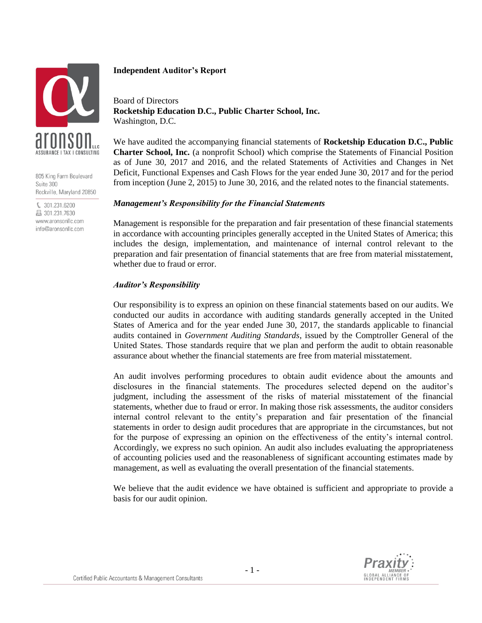

805 King Farm Boulevard Suite 300 Rockville, Maryland 20850

€ 301.231.6200 图 301.231.7630 www.aronsonllc.com info@aronsonllc.com

### **Independent Auditor's Report**

Board of Directors **Rocketship Education D.C., Public Charter School, Inc.** Washington, D.C.

We have audited the accompanying financial statements of **Rocketship Education D.C., Public Charter School, Inc.** (a nonprofit School) which comprise the Statements of Financial Position as of June 30, 2017 and 2016, and the related Statements of Activities and Changes in Net Deficit, Functional Expenses and Cash Flows for the year ended June 30, 2017 and for the period from inception (June 2, 2015) to June 30, 2016, and the related notes to the financial statements.

### *Management's Responsibility for the Financial Statements*

Management is responsible for the preparation and fair presentation of these financial statements in accordance with accounting principles generally accepted in the United States of America; this includes the design, implementation, and maintenance of internal control relevant to the preparation and fair presentation of financial statements that are free from material misstatement, whether due to fraud or error.

### *Auditor's Responsibility*

Our responsibility is to express an opinion on these financial statements based on our audits. We conducted our audits in accordance with auditing standards generally accepted in the United States of America and for the year ended June 30, 2017, the standards applicable to financial audits contained in *Government Auditing Standards*, issued by the Comptroller General of the United States. Those standards require that we plan and perform the audit to obtain reasonable assurance about whether the financial statements are free from material misstatement.

An audit involves performing procedures to obtain audit evidence about the amounts and disclosures in the financial statements. The procedures selected depend on the auditor's judgment, including the assessment of the risks of material misstatement of the financial statements, whether due to fraud or error. In making those risk assessments, the auditor considers internal control relevant to the entity's preparation and fair presentation of the financial statements in order to design audit procedures that are appropriate in the circumstances, but not for the purpose of expressing an opinion on the effectiveness of the entity's internal control. Accordingly, we express no such opinion. An audit also includes evaluating the appropriateness of accounting policies used and the reasonableness of significant accounting estimates made by management, as well as evaluating the overall presentation of the financial statements.

We believe that the audit evidence we have obtained is sufficient and appropriate to provide a basis for our audit opinion.

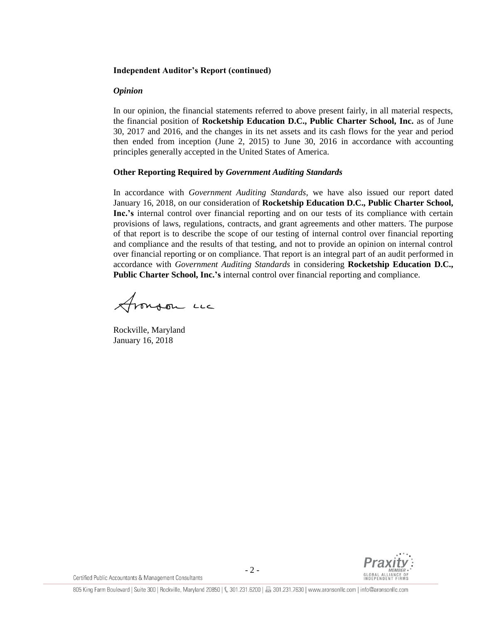### **Independent Auditor's Report (continued)**

### *Opinion*

In our opinion, the financial statements referred to above present fairly, in all material respects, the financial position of **Rocketship Education D.C., Public Charter School, Inc.** as of June 30, 2017 and 2016, and the changes in its net assets and its cash flows for the year and period then ended from inception (June 2, 2015) to June 30, 2016 in accordance with accounting principles generally accepted in the United States of America.

### **Other Reporting Required by** *Government Auditing Standards*

In accordance with *Government Auditing Standards*, we have also issued our report dated January 16, 2018, on our consideration of **Rocketship Education D.C., Public Charter School, Inc.'s** internal control over financial reporting and on our tests of its compliance with certain provisions of laws, regulations, contracts, and grant agreements and other matters. The purpose of that report is to describe the scope of our testing of internal control over financial reporting and compliance and the results of that testing, and not to provide an opinion on internal control over financial reporting or on compliance. That report is an integral part of an audit performed in accordance with *Government Auditing Standards* in considering **Rocketship Education D.C., Public Charter School, Inc.'s** internal control over financial reporting and compliance.

fronson un

Rockville, Maryland January 16, 2018

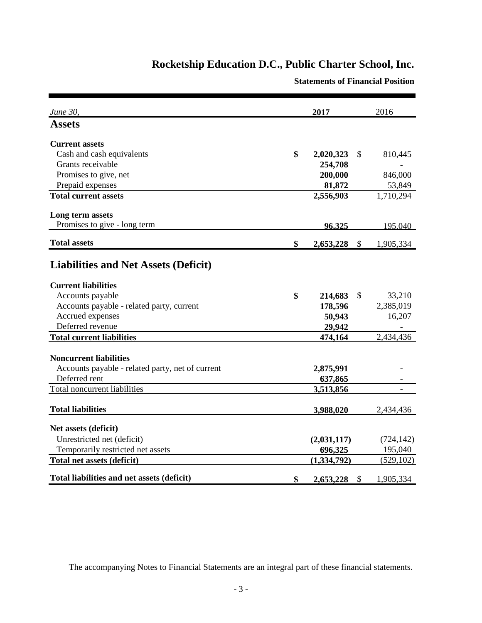**Statements of Financial Position**

| June 30,                                           | 2017                     |               | 2016                  |
|----------------------------------------------------|--------------------------|---------------|-----------------------|
| <b>Assets</b>                                      |                          |               |                       |
| <b>Current assets</b>                              |                          |               |                       |
| Cash and cash equivalents                          | \$<br>2,020,323          | \$            | 810,445               |
| Grants receivable                                  | 254,708                  |               |                       |
| Promises to give, net                              | 200,000                  |               | 846,000               |
| Prepaid expenses                                   | 81,872                   |               | 53,849                |
| <b>Total current assets</b>                        | 2,556,903                |               | 1,710,294             |
| Long term assets                                   |                          |               |                       |
| Promises to give - long term                       | 96.325                   |               | 195,040               |
| <b>Total assets</b>                                | \$<br>2,653,228          | - \$          | 1,905,334             |
| <b>Liabilities and Net Assets (Deficit)</b>        |                          |               |                       |
| <b>Current liabilities</b>                         |                          |               |                       |
| Accounts payable                                   | \$<br>214,683            | \$            | 33,210                |
| Accounts payable - related party, current          | 178,596                  |               | 2,385,019             |
| Accrued expenses                                   | 50,943                   |               | 16,207                |
| Deferred revenue                                   | 29,942                   |               |                       |
| <b>Total current liabilities</b>                   | 474,164                  |               | 2,434,436             |
| <b>Noncurrent liabilities</b>                      |                          |               |                       |
| Accounts payable - related party, net of current   | 2,875,991                |               |                       |
| Deferred rent                                      | 637,865                  |               |                       |
| Total noncurrent liabilities                       | 3,513,856                |               |                       |
| <b>Total liabilities</b>                           | 3,988,020                |               | 2,434,436             |
|                                                    |                          |               |                       |
| Net assets (deficit)<br>Unrestricted net (deficit) |                          |               |                       |
| Temporarily restricted net assets                  | (2,031,117)              |               | (724, 142)<br>195,040 |
| Total net assets (deficit)                         | 696,325<br>(1, 334, 792) |               | (529, 102)            |
|                                                    |                          |               |                       |
| Total liabilities and net assets (deficit)         | \$<br>2,653,228          | $\mathcal{S}$ | 1,905,334             |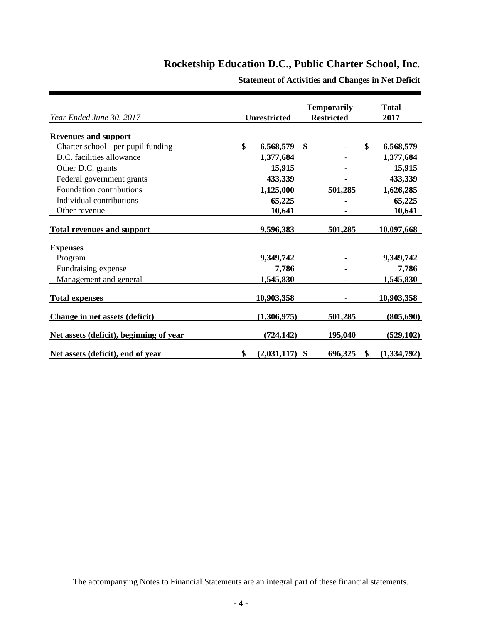| Year Ended June 30, 2017                | <b>Unrestricted</b> |                  | <b>Temporarily</b><br><b>Restricted</b> | <b>Total</b><br>2017 |
|-----------------------------------------|---------------------|------------------|-----------------------------------------|----------------------|
| <b>Revenues and support</b>             |                     |                  |                                         |                      |
| Charter school - per pupil funding      | \$                  | 6,568,579        | \$<br>$\blacksquare$                    | \$<br>6,568,579      |
| D.C. facilities allowance               |                     | 1,377,684        |                                         | 1,377,684            |
| Other D.C. grants                       |                     | 15,915           |                                         | 15,915               |
| Federal government grants               |                     | 433,339          |                                         | 433,339              |
| Foundation contributions                |                     | 1,125,000        | 501,285                                 | 1,626,285            |
| Individual contributions                |                     | 65,225           |                                         | 65,225               |
| Other revenue                           |                     | 10,641           |                                         | 10,641               |
| <b>Total revenues and support</b>       |                     | 9,596,383        | 501,285                                 | 10,097,668           |
| <b>Expenses</b>                         |                     |                  |                                         |                      |
| Program                                 |                     | 9,349,742        |                                         | 9,349,742            |
| Fundraising expense                     |                     | 7,786            |                                         | 7,786                |
| Management and general                  |                     | 1,545,830        |                                         | 1,545,830            |
| <b>Total expenses</b>                   |                     | 10,903,358       |                                         | 10,903,358           |
| Change in net assets (deficit)          |                     | (1,306,975)      | 501,285                                 | (805,690)            |
| Net assets (deficit), beginning of year |                     | (724, 142)       | 195,040                                 | (529, 102)           |
| Net assets (deficit), end of year       | \$                  | $(2,031,117)$ \$ | $696,325$ \$                            | (1,334,792)          |

**Statement of Activities and Changes in Net Deficit**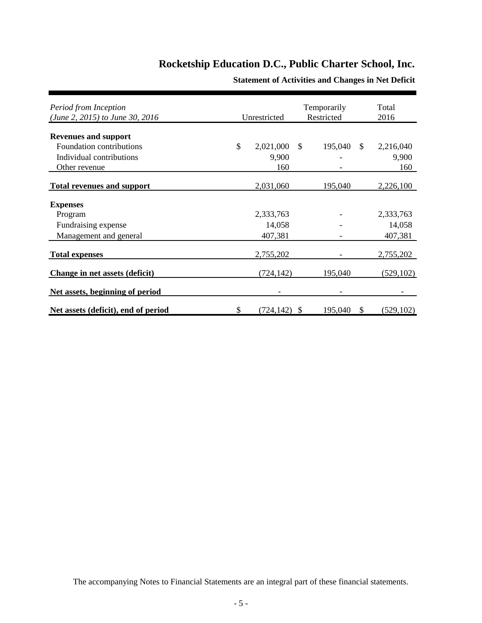| Period from Inception<br>(June 2, 2015) to June 30, 2016 | Unrestricted     |              | Temporarily<br>Restricted |               | Total<br>2016 |
|----------------------------------------------------------|------------------|--------------|---------------------------|---------------|---------------|
|                                                          |                  |              |                           |               |               |
| <b>Revenues and support</b>                              |                  |              |                           |               |               |
| Foundation contributions                                 | \$<br>2,021,000  | $\mathbb{S}$ | 195,040                   | <sup>\$</sup> | 2,216,040     |
| Individual contributions                                 | 9,900            |              |                           |               | 9,900         |
| Other revenue                                            | 160              |              |                           |               | 160           |
| <b>Total revenues and support</b>                        | 2,031,060        |              | 195,040                   |               | 2,226,100     |
| <b>Expenses</b>                                          |                  |              |                           |               |               |
| Program                                                  | 2,333,763        |              |                           |               | 2,333,763     |
| Fundraising expense                                      | 14,058           |              |                           |               | 14,058        |
| Management and general                                   | 407,381          |              |                           |               | 407,381       |
| <b>Total expenses</b>                                    | 2,755,202        |              |                           |               | 2,755,202     |
| Change in net assets (deficit)                           | (724,142)        |              | 195,040                   |               | (529, 102)    |
| Net assets, beginning of period                          |                  |              |                           |               |               |
| Net assets (deficit), end of period                      | \$<br>(724, 142) | <b>S</b>     | 195,040                   | \$            | (529, 102)    |

**Statement of Activities and Changes in Net Deficit**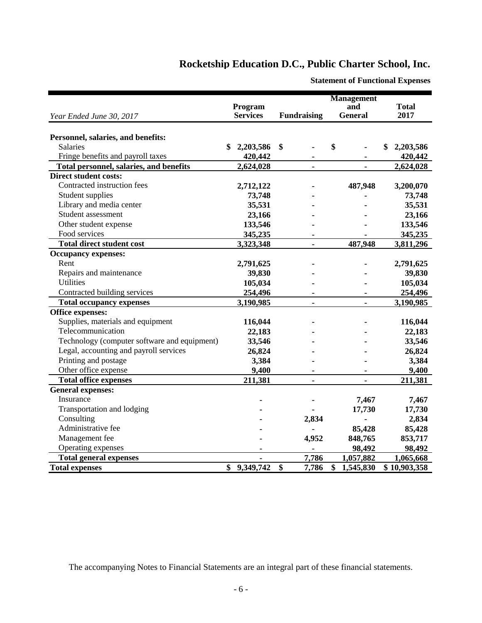|                                              |                 |                    | <b>Management</b> |                 |
|----------------------------------------------|-----------------|--------------------|-------------------|-----------------|
|                                              | Program         |                    | and               | <b>Total</b>    |
| Year Ended June 30, 2017                     | <b>Services</b> | <b>Fundraising</b> | <b>General</b>    | 2017            |
|                                              |                 |                    |                   |                 |
| Personnel, salaries, and benefits:           |                 |                    |                   |                 |
| Salaries                                     | 2,203,586<br>\$ | \$                 | \$                | 2,203,586<br>\$ |
| Fringe benefits and payroll taxes            | 420,442         |                    |                   | 420,442         |
| Total personnel, salaries, and benefits      | 2,624,028       | $\blacksquare$     | $\blacksquare$    | 2,624,028       |
| <b>Direct student costs:</b>                 |                 |                    |                   |                 |
| Contracted instruction fees                  | 2,712,122       |                    | 487,948           | 3,200,070       |
| Student supplies                             | 73,748          |                    |                   | 73,748          |
| Library and media center                     | 35,531          |                    |                   | 35,531          |
| Student assessment                           | 23,166          |                    |                   | 23,166          |
| Other student expense                        | 133,546         |                    |                   | 133,546         |
| Food services                                | 345,235         |                    |                   | 345,235         |
| <b>Total direct student cost</b>             | 3,323,348       | $\blacksquare$     | 487,948           | 3,811,296       |
| <b>Occupancy expenses:</b>                   |                 |                    |                   |                 |
| Rent                                         | 2,791,625       |                    |                   | 2,791,625       |
| Repairs and maintenance                      | 39,830          |                    |                   | 39,830          |
| <b>Utilities</b>                             | 105,034         |                    |                   | 105,034         |
| Contracted building services                 | 254,496         |                    |                   | 254,496         |
| <b>Total occupancy expenses</b>              | 3,190,985       | ä,                 | ä,                | 3,190,985       |
| Office expenses:                             |                 |                    |                   |                 |
| Supplies, materials and equipment            | 116,044         |                    |                   | 116,044         |
| Telecommunication                            | 22,183          |                    |                   | 22,183          |
| Technology (computer software and equipment) | 33,546          |                    |                   | 33,546          |
| Legal, accounting and payroll services       | 26,824          |                    |                   | 26,824          |
| Printing and postage                         | 3,384           |                    |                   | 3,384           |
| Other office expense                         | 9,400           |                    |                   | 9,400           |
| <b>Total office expenses</b>                 | 211,381         |                    |                   | 211,381         |
| <b>General expenses:</b>                     |                 |                    |                   |                 |
| Insurance                                    |                 |                    | 7,467             | 7,467           |
| Transportation and lodging                   |                 |                    | 17,730            | 17,730          |
| Consulting                                   |                 | 2,834              |                   | 2,834           |
| Administrative fee                           |                 |                    | 85,428            | 85,428          |
| Management fee                               |                 | 4,952              | 848,765           | 853,717         |
| Operating expenses                           |                 |                    | 98,492            | 98,492          |
| <b>Total general expenses</b>                |                 | 7,786              | 1,057,882         | 1,065,668       |
| <b>Total expenses</b>                        | 9,349,742<br>\$ | \$<br>7,786        | \$<br>1,545,830   | \$10,903,358    |

**Statement of Functional Expenses**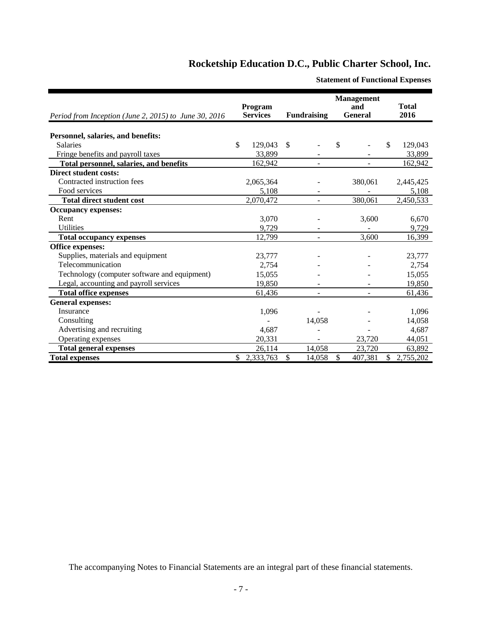| Period from Inception (June 2, 2015) to June 30, 2016 | Program<br><b>Services</b> | <b>Fundraising</b>      | <b>Management</b><br>and<br><b>General</b> | <b>Total</b><br>2016 |
|-------------------------------------------------------|----------------------------|-------------------------|--------------------------------------------|----------------------|
|                                                       |                            |                         |                                            |                      |
| Personnel, salaries, and benefits:                    |                            |                         |                                            |                      |
| <b>Salaries</b>                                       | \$<br>129,043              | $\mathbb{S}$            | \$                                         | \$<br>129,043        |
| Fringe benefits and payroll taxes                     | 33,899                     |                         |                                            | 33,899               |
| Total personnel, salaries, and benefits               | 162,942                    |                         |                                            | 162,942              |
| <b>Direct student costs:</b>                          |                            |                         |                                            |                      |
| Contracted instruction fees                           | 2,065,364                  |                         | 380,061                                    | 2,445,425            |
| Food services                                         | 5,108                      |                         |                                            | 5,108                |
| <b>Total direct student cost</b>                      | 2,070,472                  |                         | 380,061                                    | 2,450,533            |
| <b>Occupancy expenses:</b>                            |                            |                         |                                            |                      |
| Rent                                                  | 3,070                      |                         | 3,600                                      | 6,670                |
| <b>Utilities</b>                                      | 9,729                      |                         |                                            | 9,729                |
| <b>Total occupancy expenses</b>                       | 12,799                     |                         | 3,600                                      | 16,399               |
| <b>Office expenses:</b>                               |                            |                         |                                            |                      |
| Supplies, materials and equipment                     | 23,777                     |                         |                                            | 23,777               |
| Telecommunication                                     | 2,754                      |                         |                                            | 2,754                |
| Technology (computer software and equipment)          | 15,055                     |                         |                                            | 15,055               |
| Legal, accounting and payroll services                | 19,850                     |                         |                                            | 19,850               |
| <b>Total office expenses</b>                          | 61,436                     |                         |                                            | 61,436               |
| <b>General expenses:</b>                              |                            |                         |                                            |                      |
| Insurance                                             | 1,096                      |                         |                                            | 1,096                |
| Consulting                                            |                            | 14,058                  |                                            | 14,058               |
| Advertising and recruiting                            | 4,687                      |                         |                                            | 4,687                |
| Operating expenses                                    | 20,331                     |                         | 23,720                                     | 44,051               |
| <b>Total general expenses</b>                         | 26,114                     | 14,058                  | 23,720                                     | 63,892               |
| <b>Total expenses</b>                                 | \$2,333,763                | <sup>\$</sup><br>14,058 | $\mathbb{S}$<br>407,381                    | \$2,755,202          |

**Statement of Functional Expenses**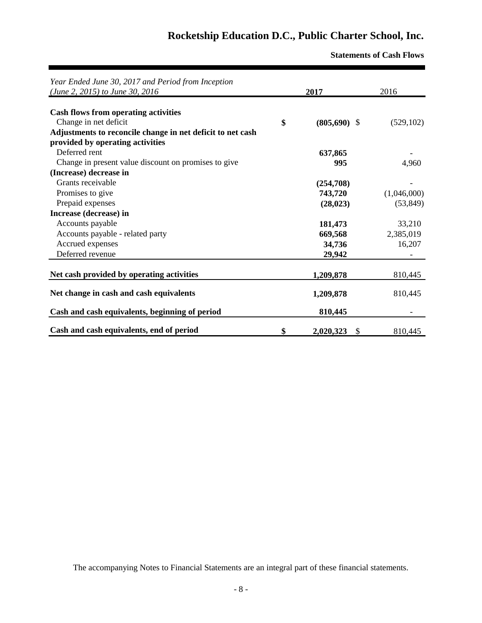**Statements of Cash Flows**

| Year Ended June 30, 2017 and Period from Inception<br>(June 2, 2015) to June 30, 2016 | 2017                             | 2016        |
|---------------------------------------------------------------------------------------|----------------------------------|-------------|
|                                                                                       |                                  |             |
| <b>Cash flows from operating activities</b>                                           |                                  |             |
| Change in net deficit                                                                 | \$<br>$(805,690)$ \$             | (529, 102)  |
| Adjustments to reconcile change in net deficit to net cash                            |                                  |             |
| provided by operating activities                                                      |                                  |             |
| Deferred rent                                                                         | 637,865                          |             |
| Change in present value discount on promises to give                                  | 995                              | 4,960       |
| (Increase) decrease in                                                                |                                  |             |
| Grants receivable                                                                     | (254,708)                        |             |
| Promises to give                                                                      | 743,720                          | (1,046,000) |
| Prepaid expenses                                                                      | (28, 023)                        | (53, 849)   |
| Increase (decrease) in                                                                |                                  |             |
| Accounts payable                                                                      | 181,473                          | 33,210      |
| Accounts payable - related party                                                      | 669,568                          | 2,385,019   |
| Accrued expenses                                                                      | 34,736                           | 16,207      |
| Deferred revenue                                                                      | 29,942                           |             |
|                                                                                       |                                  |             |
| Net cash provided by operating activities                                             | 1,209,878                        | 810,445     |
| Net change in cash and cash equivalents                                               | 1,209,878                        | 810,445     |
| Cash and cash equivalents, beginning of period                                        | 810,445                          |             |
| Cash and cash equivalents, end of period                                              | \$<br>2,020,323<br>$\mathcal{S}$ | 810,445     |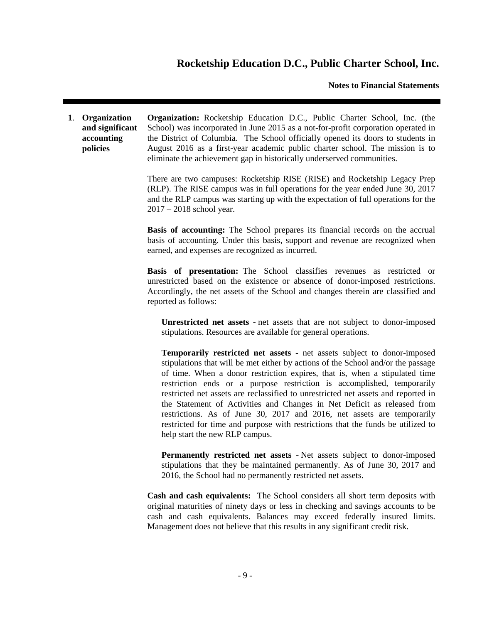#### **Notes to Financial Statements**

**1**. **Organization and significant accounting policies Organization:** Rocketship Education D.C., Public Charter School, Inc. (the School) was incorporated in June 2015 as a not-for-profit corporation operated in the District of Columbia. The School officially opened its doors to students in August 2016 as a first-year academic public charter school. The mission is to eliminate the achievement gap in historically underserved communities.

> There are two campuses: Rocketship RISE (RISE) and Rocketship Legacy Prep (RLP). The RISE campus was in full operations for the year ended June 30, 2017 and the RLP campus was starting up with the expectation of full operations for the 2017 – 2018 school year.

> **Basis of accounting:** The School prepares its financial records on the accrual basis of accounting. Under this basis, support and revenue are recognized when earned, and expenses are recognized as incurred.

> **Basis of presentation:** The School classifies revenues as restricted or unrestricted based on the existence or absence of donor-imposed restrictions. Accordingly, the net assets of the School and changes therein are classified and reported as follows:

**Unrestricted net assets -** net assets that are not subject to donor-imposed stipulations. Resources are available for general operations.

**Temporarily restricted net assets -** net assets subject to donor-imposed stipulations that will be met either by actions of the School and/or the passage of time. When a donor restriction expires, that is, when a stipulated time restriction ends or a purpose restriction is accomplished, temporarily restricted net assets are reclassified to unrestricted net assets and reported in the Statement of Activities and Changes in Net Deficit as released from restrictions. As of June 30, 2017 and 2016, net assets are temporarily restricted for time and purpose with restrictions that the funds be utilized to help start the new RLP campus.

**Permanently restricted net assets** - Net assets subject to donor-imposed stipulations that they be maintained permanently. As of June 30, 2017 and 2016, the School had no permanently restricted net assets.

**Cash and cash equivalents:** The School considers all short term deposits with original maturities of ninety days or less in checking and savings accounts to be cash and cash equivalents. Balances may exceed federally insured limits. Management does not believe that this results in any significant credit risk.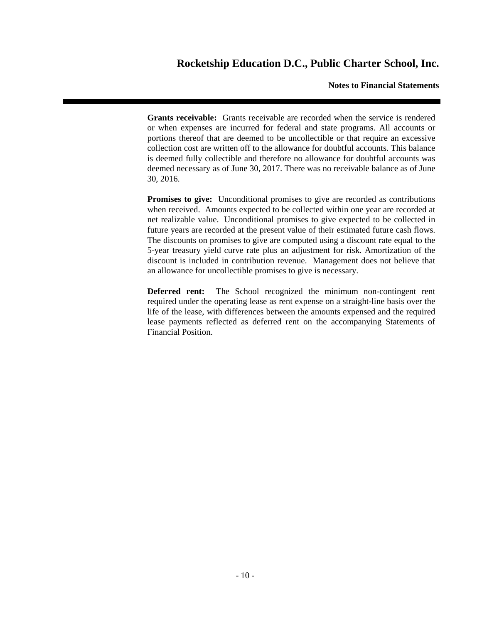#### **Notes to Financial Statements**

**Grants receivable:** Grants receivable are recorded when the service is rendered or when expenses are incurred for federal and state programs. All accounts or portions thereof that are deemed to be uncollectible or that require an excessive collection cost are written off to the allowance for doubtful accounts. This balance is deemed fully collectible and therefore no allowance for doubtful accounts was deemed necessary as of June 30, 2017. There was no receivable balance as of June 30, 2016.

**Promises to give:** Unconditional promises to give are recorded as contributions when received. Amounts expected to be collected within one year are recorded at net realizable value. Unconditional promises to give expected to be collected in future years are recorded at the present value of their estimated future cash flows. The discounts on promises to give are computed using a discount rate equal to the 5-year treasury yield curve rate plus an adjustment for risk. Amortization of the discount is included in contribution revenue. Management does not believe that an allowance for uncollectible promises to give is necessary.

**Deferred rent:** The School recognized the minimum non-contingent rent required under the operating lease as rent expense on a straight-line basis over the life of the lease, with differences between the amounts expensed and the required lease payments reflected as deferred rent on the accompanying Statements of Financial Position.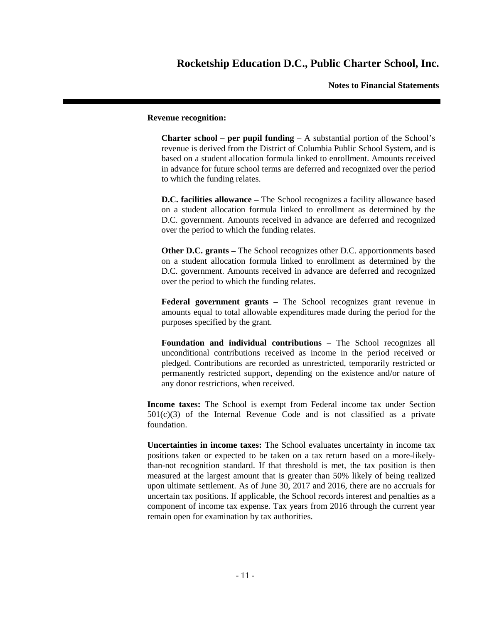**Notes to Financial Statements**

#### **Revenue recognition:**

**Charter school – per pupil funding** – A substantial portion of the School's revenue is derived from the District of Columbia Public School System, and is based on a student allocation formula linked to enrollment. Amounts received in advance for future school terms are deferred and recognized over the period to which the funding relates.

**D.C. facilities allowance –** The School recognizes a facility allowance based on a student allocation formula linked to enrollment as determined by the D.C. government. Amounts received in advance are deferred and recognized over the period to which the funding relates.

**Other D.C. grants –** The School recognizes other D.C. apportionments based on a student allocation formula linked to enrollment as determined by the D.C. government. Amounts received in advance are deferred and recognized over the period to which the funding relates.

**Federal government grants –** The School recognizes grant revenue in amounts equal to total allowable expenditures made during the period for the purposes specified by the grant.

**Foundation and individual contributions** – The School recognizes all unconditional contributions received as income in the period received or pledged. Contributions are recorded as unrestricted, temporarily restricted or permanently restricted support, depending on the existence and/or nature of any donor restrictions, when received.

**Income taxes:** The School is exempt from Federal income tax under Section  $501(c)(3)$  of the Internal Revenue Code and is not classified as a private foundation.

**Uncertainties in income taxes:** The School evaluates uncertainty in income tax positions taken or expected to be taken on a tax return based on a more-likelythan-not recognition standard. If that threshold is met, the tax position is then measured at the largest amount that is greater than 50% likely of being realized upon ultimate settlement. As of June 30, 2017 and 2016, there are no accruals for uncertain tax positions. If applicable, the School records interest and penalties as a component of income tax expense. Tax years from 2016 through the current year remain open for examination by tax authorities.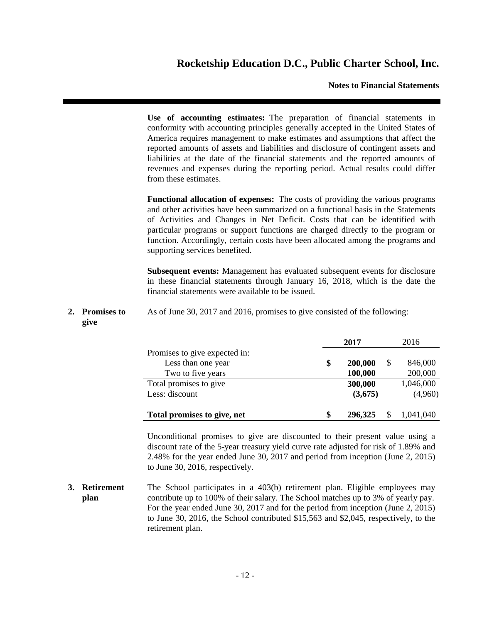#### **Notes to Financial Statements**

**Use of accounting estimates:** The preparation of financial statements in conformity with accounting principles generally accepted in the United States of America requires management to make estimates and assumptions that affect the reported amounts of assets and liabilities and disclosure of contingent assets and liabilities at the date of the financial statements and the reported amounts of revenues and expenses during the reporting period. Actual results could differ from these estimates.

**Functional allocation of expenses:** The costs of providing the various programs and other activities have been summarized on a functional basis in the Statements of Activities and Changes in Net Deficit. Costs that can be identified with particular programs or support functions are charged directly to the program or function. Accordingly, certain costs have been allocated among the programs and supporting services benefited.

**Subsequent events:** Management has evaluated subsequent events for disclosure in these financial statements through January 16, 2018, which is the date the financial statements were available to be issued.

**2. Promises to give** As of June 30, 2017 and 2016, promises to give consisted of the following:

|                               | 2017 |         |    | 2016      |
|-------------------------------|------|---------|----|-----------|
| Promises to give expected in: |      |         |    |           |
| Less than one year            | \$   | 200,000 | \$ | 846,000   |
| Two to five years             |      | 100,000 |    | 200,000   |
| Total promises to give        |      | 300,000 |    | 1,046,000 |
| Less: discount                |      | (3,675) |    | (4,960)   |
|                               |      |         |    |           |
| Total promises to give, net   | \$   | 296,325 | S  | 1,041,040 |

Unconditional promises to give are discounted to their present value using a discount rate of the 5-year treasury yield curve rate adjusted for risk of 1.89% and 2.48% for the year ended June 30, 2017 and period from inception (June 2, 2015) to June 30, 2016, respectively.

**3. Retirement plan** The School participates in a 403(b) retirement plan. Eligible employees may contribute up to 100% of their salary. The School matches up to 3% of yearly pay. For the year ended June 30, 2017 and for the period from inception (June 2, 2015) to June 30, 2016, the School contributed \$15,563 and \$2,045, respectively, to the retirement plan.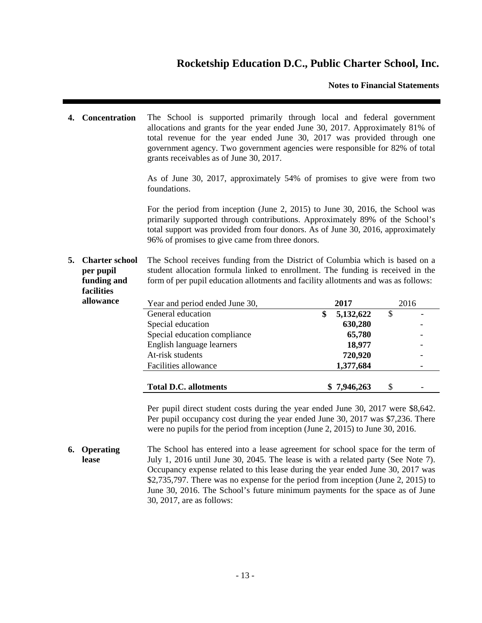### **Notes to Financial Statements**

**4. Concentration** The School is supported primarily through local and federal government allocations and grants for the year ended June 30, 2017. Approximately 81% of total revenue for the year ended June 30, 2017 was provided through one government agency. Two government agencies were responsible for 82% of total grants receivables as of June 30, 2017.

> As of June 30, 2017, approximately 54% of promises to give were from two foundations.

> For the period from inception (June 2, 2015) to June 30, 2016, the School was primarily supported through contributions. Approximately 89% of the School's total support was provided from four donors. As of June 30, 2016, approximately 96% of promises to give came from three donors.

**5. Charter school per pupil funding and facilities** The School receives funding from the District of Columbia which is based on a student allocation formula linked to enrollment. The funding is received in the form of per pupil education allotments and facility allotments and was as follows:

| таспител  |  |
|-----------|--|
| allowance |  |
|           |  |

| allowance | Year and period ended June 30, | 2017            | 2016 |
|-----------|--------------------------------|-----------------|------|
|           | General education              | 5,132,622<br>\$ | \$   |
|           | Special education              | 630,280         |      |
|           | Special education compliance   | 65,780          |      |
|           | English language learners      | 18,977          |      |
|           | At-risk students               | 720,920         |      |
|           | Facilities allowance           | 1,377,684       |      |
|           | <b>Total D.C. allotments</b>   | \$7,946,263     | \$   |

Per pupil direct student costs during the year ended June 30, 2017 were \$8,642. Per pupil occupancy cost during the year ended June 30, 2017 was \$7,236. There were no pupils for the period from inception (June 2, 2015) to June 30, 2016.

**6. Operating lease** The School has entered into a lease agreement for school space for the term of July 1, 2016 until June 30, 2045. The lease is with a related party (See Note 7). Occupancy expense related to this lease during the year ended June 30, 2017 was \$2,735,797. There was no expense for the period from inception (June 2, 2015) to June 30, 2016. The School's future minimum payments for the space as of June 30, 2017, are as follows: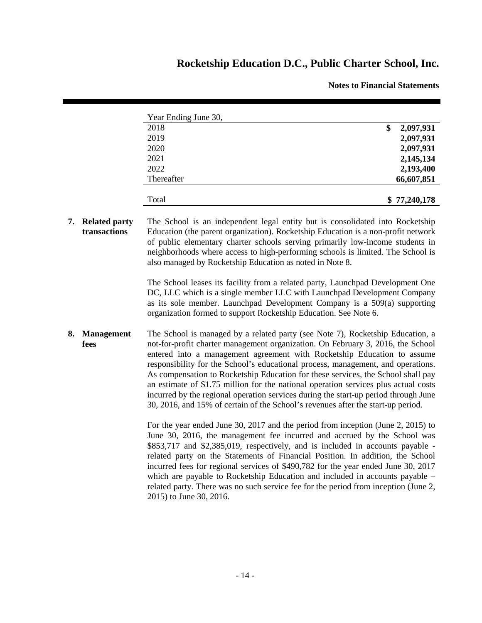**Notes to Financial Statements**

| Year Ending June 30, |                 |
|----------------------|-----------------|
| 2018                 | 2,097,931<br>\$ |
| 2019                 | 2,097,931       |
| 2020                 | 2,097,931       |
| 2021                 | 2,145,134       |
| 2022                 | 2,193,400       |
| Thereafter           | 66,607,851      |
|                      |                 |
| Total                | \$77,240,178    |

**7. Related party transactions** The School is an independent legal entity but is consolidated into Rocketship Education (the parent organization). Rocketship Education is a non-profit network of public elementary charter schools serving primarily low-income students in neighborhoods where access to high-performing schools is limited. The School is also managed by Rocketship Education as noted in Note 8.

> The School leases its facility from a related party, Launchpad Development One DC, LLC which is a single member LLC with Launchpad Development Company as its sole member. Launchpad Development Company is a 509(a) supporting organization formed to support Rocketship Education. See Note 6.

**8. Management fees** The School is managed by a related party (see Note 7), Rocketship Education, a not-for-profit charter management organization. On February 3, 2016, the School entered into a management agreement with Rocketship Education to assume responsibility for the School's educational process, management, and operations. As compensation to Rocketship Education for these services, the School shall pay an estimate of \$1.75 million for the national operation services plus actual costs incurred by the regional operation services during the start-up period through June 30, 2016, and 15% of certain of the School's revenues after the start-up period.

> For the year ended June 30, 2017 and the period from inception (June 2, 2015) to June 30, 2016, the management fee incurred and accrued by the School was \$853,717 and \$2,385,019, respectively, and is included in accounts payable related party on the Statements of Financial Position. In addition, the School incurred fees for regional services of \$490,782 for the year ended June 30, 2017 which are payable to Rocketship Education and included in accounts payable – related party. There was no such service fee for the period from inception (June 2, 2015) to June 30, 2016.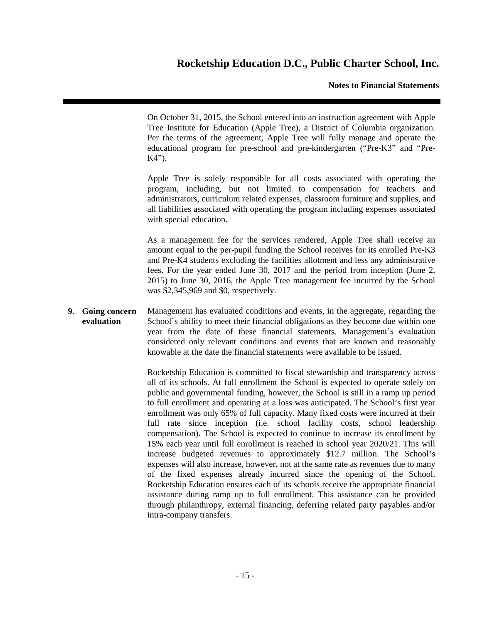### **Notes to Financial Statements**

On October 31, 2015, the School entered into an instruction agreement with Apple Tree Institute for Education (Apple Tree), a District of Columbia organization. Per the terms of the agreement, Apple Tree will fully manage and operate the educational program for pre-school and pre-kindergarten ("Pre-K3" and "Pre-K4").

Apple Tree is solely responsible for all costs associated with operating the program, including, but not limited to compensation for teachers and administrators, curriculum related expenses, classroom furniture and supplies, and all liabilities associated with operating the program including expenses associated with special education.

As a management fee for the services rendered, Apple Tree shall receive an amount equal to the per-pupil funding the School receives for its enrolled Pre-K3 and Pre-K4 students excluding the facilities allotment and less any administrative fees. For the year ended June 30, 2017 and the period from inception (June 2, 2015) to June 30, 2016, the Apple Tree management fee incurred by the School was \$2,345,969 and \$0, respectively.

**9. Going concern evaluation** Management has evaluated conditions and events, in the aggregate, regarding the School's ability to meet their financial obligations as they become due within one year from the date of these financial statements. Management's evaluation considered only relevant conditions and events that are known and reasonably knowable at the date the financial statements were available to be issued.

> Rocketship Education is committed to fiscal stewardship and transparency across all of its schools. At full enrollment the School is expected to operate solely on public and governmental funding, however, the School is still in a ramp up period to full enrollment and operating at a loss was anticipated. The School's first year enrollment was only 65% of full capacity. Many fixed costs were incurred at their full rate since inception (i.e. school facility costs, school leadership compensation). The School is expected to continue to increase its enrollment by 15% each year until full enrollment is reached in school year 2020/21. This will increase budgeted revenues to approximately \$12.7 million. The School's expenses will also increase, however, not at the same rate as revenues due to many of the fixed expenses already incurred since the opening of the School. Rocketship Education ensures each of its schools receive the appropriate financial assistance during ramp up to full enrollment. This assistance can be provided through philanthropy, external financing, deferring related party payables and/or intra-company transfers.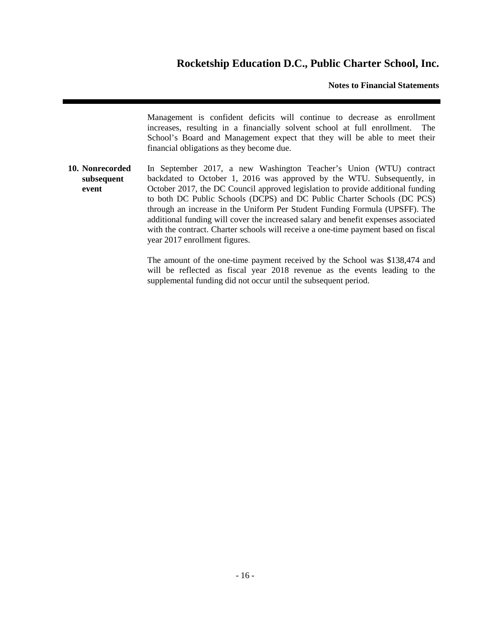### **Notes to Financial Statements**

Management is confident deficits will continue to decrease as enrollment increases, resulting in a financially solvent school at full enrollment. The School's Board and Management expect that they will be able to meet their financial obligations as they become due.

**10. Nonrecorded subsequent event** In September 2017, a new Washington Teacher's Union (WTU) contract backdated to October 1, 2016 was approved by the WTU. Subsequently, in October 2017, the DC Council approved legislation to provide additional funding to both DC Public Schools (DCPS) and DC Public Charter Schools (DC PCS) through an increase in the Uniform Per Student Funding Formula (UPSFF). The additional funding will cover the increased salary and benefit expenses associated with the contract. Charter schools will receive a one-time payment based on fiscal year 2017 enrollment figures.

> The amount of the one-time payment received by the School was \$138,474 and will be reflected as fiscal year 2018 revenue as the events leading to the supplemental funding did not occur until the subsequent period.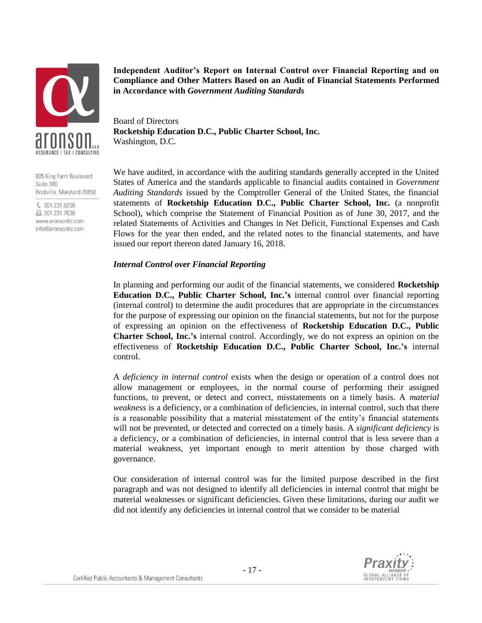

805 King Farm Boulevard Suite 300 Rockville, Maryland 20850

 $$301.231.6200$ ■ 301.231.7630 www.aronsonllc.com info@aronsonllc.com

**Independent Auditor's Report on Internal Control over Financial Reporting and on Compliance and Other Matters Based on an Audit of Financial Statements Performed in Accordance with** *Government Auditing Standards*

Board of Directors **Rocketship Education D.C., Public Charter School, Inc.** Washington, D.C.

We have audited, in accordance with the auditing standards generally accepted in the United States of America and the standards applicable to financial audits contained in *Government Auditing Standards* issued by the Comptroller General of the United States, the financial statements of **Rocketship Education D.C., Public Charter School, Inc.** (a nonprofit School), which comprise the Statement of Financial Position as of June 30, 2017, and the related Statements of Activities and Changes in Net Deficit, Functional Expenses and Cash Flows for the year then ended, and the related notes to the financial statements, and have issued our report thereon dated January 16, 2018.

#### *Internal Control over Financial Reporting*

In planning and performing our audit of the financial statements, we considered **Rocketship Education D.C., Public Charter School, Inc.'s** internal control over financial reporting (internal control) to determine the audit procedures that are appropriate in the circumstances for the purpose of expressing our opinion on the financial statements, but not for the purpose of expressing an opinion on the effectiveness of **Rocketship Education D.C., Public Charter School, Inc.'s** internal control. Accordingly, we do not express an opinion on the effectiveness of **Rocketship Education D.C., Public Charter School, Inc.'s** internal control.

A *deficiency in internal control* exists when the design or operation of a control does not allow management or employees, in the normal course of performing their assigned functions, to prevent, or detect and correct, misstatements on a timely basis. A *material weakness* is a deficiency, or a combination of deficiencies, in internal control, such that there is a reasonable possibility that a material misstatement of the entity's financial statements will not be prevented, or detected and corrected on a timely basis. A *significant deficiency* is a deficiency, or a combination of deficiencies, in internal control that is less severe than a material weakness, yet important enough to merit attention by those charged with governance.

Our consideration of internal control was for the limited purpose described in the first paragraph and was not designed to identify all deficiencies in internal control that might be material weaknesses or significant deficiencies. Given these limitations, during our audit we did not identify any deficiencies in internal control that we consider to be material

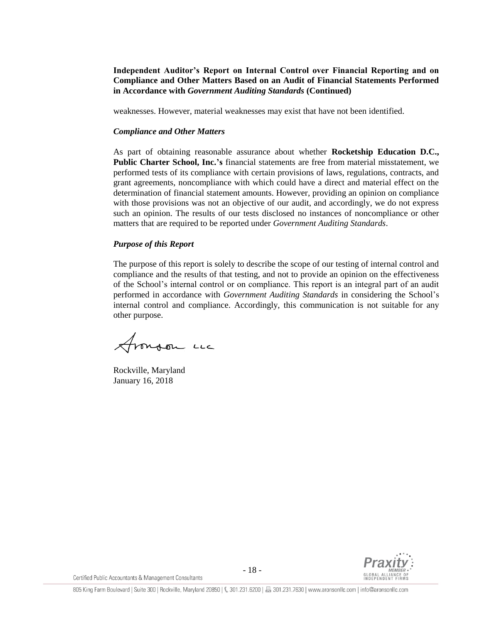**Independent Auditor's Report on Internal Control over Financial Reporting and on Compliance and Other Matters Based on an Audit of Financial Statements Performed in Accordance with** *Government Auditing Standards* **(Continued)**

weaknesses. However, material weaknesses may exist that have not been identified.

#### *Compliance and Other Matters*

As part of obtaining reasonable assurance about whether **Rocketship Education D.C., Public Charter School, Inc.'s** financial statements are free from material misstatement, we performed tests of its compliance with certain provisions of laws, regulations, contracts, and grant agreements, noncompliance with which could have a direct and material effect on the determination of financial statement amounts. However, providing an opinion on compliance with those provisions was not an objective of our audit, and accordingly, we do not express such an opinion. The results of our tests disclosed no instances of noncompliance or other matters that are required to be reported under *Government Auditing Standards*.

### *Purpose of this Report*

The purpose of this report is solely to describe the scope of our testing of internal control and compliance and the results of that testing, and not to provide an opinion on the effectiveness of the School's internal control or on compliance. This report is an integral part of an audit performed in accordance with *Government Auditing Standards* in considering the School's internal control and compliance. Accordingly, this communication is not suitable for any other purpose.

Aronson un

Rockville, Maryland January 16, 2018



Certified Public Accountants & Management Consultants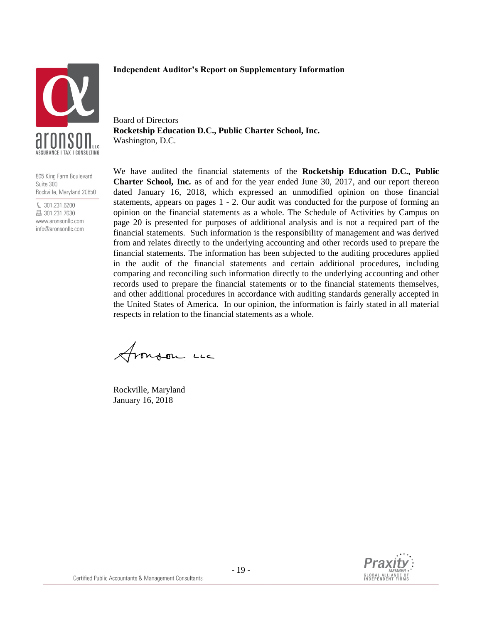### **Independent Auditor's Report on Supplementary Information**



Board of Directors **Rocketship Education D.C., Public Charter School, Inc.** Washington, D.C.

805 King Farm Boulevard Suite 300 Rockville, Maryland 20850

€ 301.231.6200 图 301.231.7630 www.aronsonllc.com info@aronsonllc.com

We have audited the financial statements of the **Rocketship Education D.C., Public Charter School, Inc.** as of and for the year ended June 30, 2017, and our report thereon dated January 16, 2018, which expressed an unmodified opinion on those financial statements, appears on pages 1 - 2. Our audit was conducted for the purpose of forming an opinion on the financial statements as a whole. The Schedule of Activities by Campus on page 20 is presented for purposes of additional analysis and is not a required part of the financial statements. Such information is the responsibility of management and was derived from and relates directly to the underlying accounting and other records used to prepare the financial statements. The information has been subjected to the auditing procedures applied in the audit of the financial statements and certain additional procedures, including comparing and reconciling such information directly to the underlying accounting and other records used to prepare the financial statements or to the financial statements themselves, and other additional procedures in accordance with auditing standards generally accepted in the United States of America. In our opinion, the information is fairly stated in all material respects in relation to the financial statements as a whole.

Frongon LL

Rockville, Maryland January 16, 2018